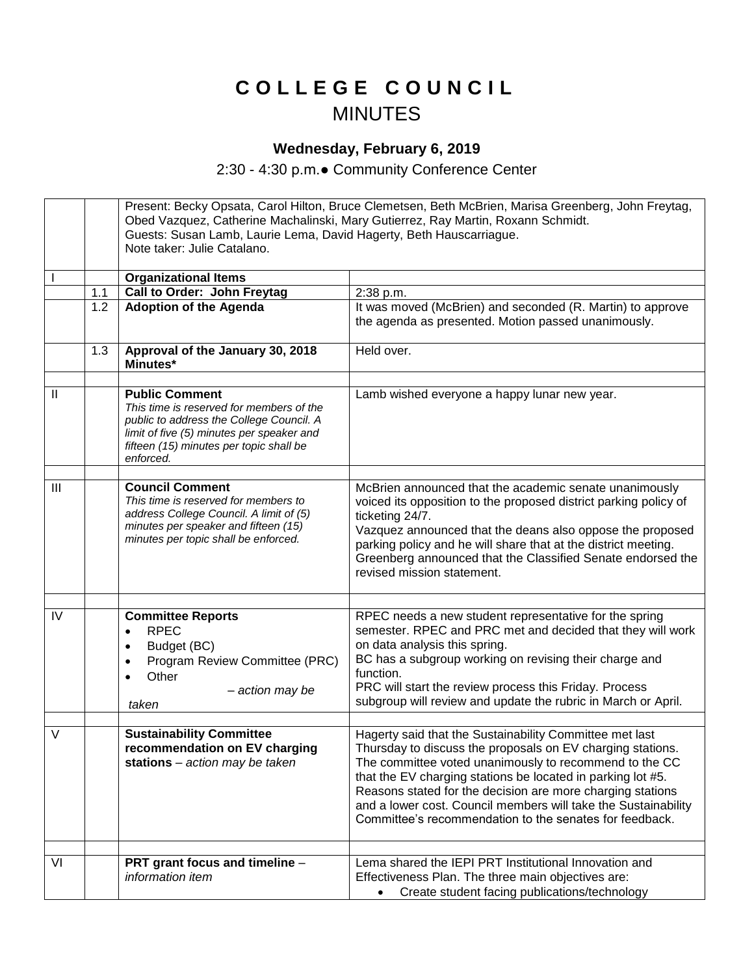## **C O L L E G E C O U N C I L** MINUTES

## **Wednesday, February 6, 2019**

2:30 - 4:30 p.m.● Community Conference Center

Present: Becky Opsata, Carol Hilton, Bruce Clemetsen, Beth McBrien, Marisa Greenberg, John Freytag, Obed Vazquez, Catherine Machalinski, Mary Gutierrez, Ray Martin, Roxann Schmidt. Guests: Susan Lamb, Laurie Lema, David Hagerty, Beth Hauscarriague. Note taker: Julie Catalano. I **Organizational Items** 1.1 **Call to Order: John Freytag** 2:38 p.m.<br>1.2 **Adoption of the Agenda** It was mo 1.2 **Adoption of the Agenda It was moved (McBrien) and seconded (R. Martin) to approve** the agenda as presented. Motion passed unanimously. 1.3 **Approval of the January 30, 2018 Minutes\*** Held over. II **Public Comment** *This time is reserved for members of the public to address the College Council. A limit of five (5) minutes per speaker and fifteen (15) minutes per topic shall be enforced.*  Lamb wished everyone a happy lunar new year. III **Council Comment** *This time is reserved for members to address College Council. A limit of (5) minutes per speaker and fifteen (15) minutes per topic shall be enforced.* McBrien announced that the academic senate unanimously voiced its opposition to the proposed district parking policy of ticketing 24/7. Vazquez announced that the deans also oppose the proposed parking policy and he will share that at the district meeting. Greenberg announced that the Classified Senate endorsed the revised mission statement. IV **Committee Reports** • RPEC • Budget (BC) Program Review Committee (PRC) **Other**  – *action may be taken* RPEC needs a new student representative for the spring semester. RPEC and PRC met and decided that they will work on data analysis this spring. BC has a subgroup working on revising their charge and function. PRC will start the review process this Friday. Process subgroup will review and update the rubric in March or April. V **Sustainability Committee recommendation on EV charging stations** – *action may be taken* Hagerty said that the Sustainability Committee met last Thursday to discuss the proposals on EV charging stations. The committee voted unanimously to recommend to the CC that the EV charging stations be located in parking lot #5. Reasons stated for the decision are more charging stations and a lower cost. Council members will take the Sustainability Committee's recommendation to the senates for feedback. VI **PRT grant focus and timeline** – *information item* Lema shared the IEPI PRT Institutional Innovation and Effectiveness Plan. The three main objectives are: • Create student facing publications/technology